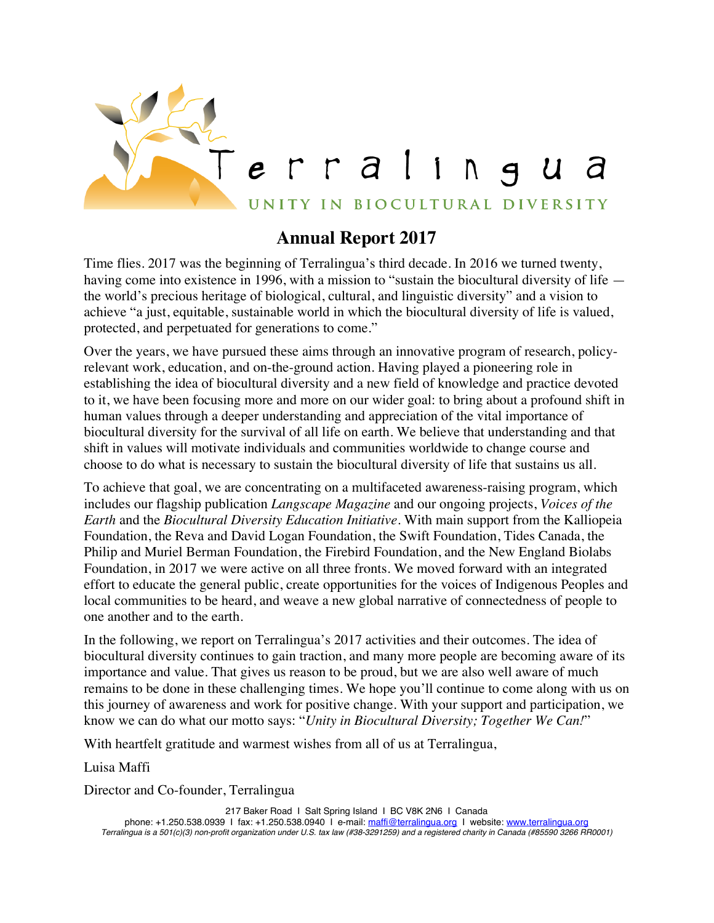

## **Annual Report 2017**

Time flies. 2017 was the beginning of Terralingua's third decade. In 2016 we turned twenty, having come into existence in 1996, with a mission to "sustain the biocultural diversity of life the world's precious heritage of biological, cultural, and linguistic diversity" and a vision to achieve "a just, equitable, sustainable world in which the biocultural diversity of life is valued, protected, and perpetuated for generations to come."

Over the years, we have pursued these aims through an innovative program of research, policyrelevant work, education, and on-the-ground action. Having played a pioneering role in establishing the idea of biocultural diversity and a new field of knowledge and practice devoted to it, we have been focusing more and more on our wider goal: to bring about a profound shift in human values through a deeper understanding and appreciation of the vital importance of biocultural diversity for the survival of all life on earth. We believe that understanding and that shift in values will motivate individuals and communities worldwide to change course and choose to do what is necessary to sustain the biocultural diversity of life that sustains us all.

To achieve that goal, we are concentrating on a multifaceted awareness-raising program, which includes our flagship publication *Langscape Magazine* and our ongoing projects, *Voices of the Earth* and the *Biocultural Diversity Education Initiative*. With main support from the Kalliopeia Foundation, the Reva and David Logan Foundation, the Swift Foundation, Tides Canada, the Philip and Muriel Berman Foundation, the Firebird Foundation, and the New England Biolabs Foundation, in 2017 we were active on all three fronts. We moved forward with an integrated effort to educate the general public, create opportunities for the voices of Indigenous Peoples and local communities to be heard, and weave a new global narrative of connectedness of people to one another and to the earth.

In the following, we report on Terralingua's 2017 activities and their outcomes. The idea of biocultural diversity continues to gain traction, and many more people are becoming aware of its importance and value. That gives us reason to be proud, but we are also well aware of much remains to be done in these challenging times. We hope you'll continue to come along with us on this journey of awareness and work for positive change. With your support and participation, we know we can do what our motto says: "*Unity in Biocultural Diversity; Together We Can!*"

With heartfelt gratitude and warmest wishes from all of us at Terralingua,

Luisa Maffi

Director and Co-founder, Terralingua

217 Baker Road I Salt Spring Island I BC V8K 2N6 I Canada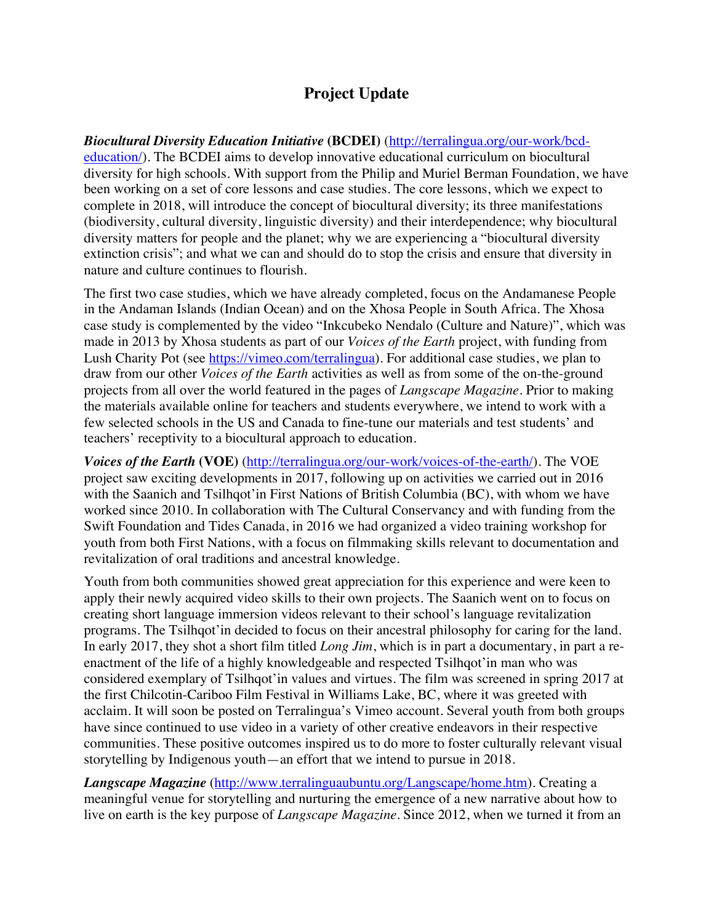## **Project Update**

*Biocultural Diversity Education Initiative* **(BCDEI)** (http://terralingua.org/our-work/bcdeducation/). The BCDEI aims to develop innovative educational curriculum on biocultural diversity for high schools. With support from the Philip and Muriel Berman Foundation, we have been working on a set of core lessons and case studies. The core lessons, which we expect to complete in 2018, will introduce the concept of biocultural diversity; its three manifestations (biodiversity, cultural diversity, linguistic diversity) and their interdependence; why biocultural diversity matters for people and the planet; why we are experiencing a "biocultural diversity extinction crisis"; and what we can and should do to stop the crisis and ensure that diversity in nature and culture continues to flourish.

The first two case studies, which we have already completed, focus on the Andamanese People in the Andaman Islands (Indian Ocean) and on the Xhosa People in South Africa. The Xhosa case study is complemented by the video "Inkcubeko Nendalo (Culture and Nature)", which was made in 2013 by Xhosa students as part of our *Voices of the Earth* project, with funding from Lush Charity Pot (see https://vimeo.com/terralingua). For additional case studies, we plan to draw from our other *Voices of the Earth* activities as well as from some of the on-the-ground projects from all over the world featured in the pages of *Langscape Magazine*. Prior to making the materials available online for teachers and students everywhere, we intend to work with a few selected schools in the US and Canada to fine-tune our materials and test students' and teachers' receptivity to a biocultural approach to education.

*Voices of the Earth* **(VOE)** (http://terralingua.org/our-work/voices-of-the-earth/). The VOE project saw exciting developments in 2017, following up on activities we carried out in 2016 with the Saanich and Tsilhqot'in First Nations of British Columbia (BC), with whom we have worked since 2010. In collaboration with The Cultural Conservancy and with funding from the Swift Foundation and Tides Canada, in 2016 we had organized a video training workshop for youth from both First Nations, with a focus on filmmaking skills relevant to documentation and revitalization of oral traditions and ancestral knowledge.

Youth from both communities showed great appreciation for this experience and were keen to apply their newly acquired video skills to their own projects. The Saanich went on to focus on creating short language immersion videos relevant to their school's language revitalization programs. The Tsilhqot'in decided to focus on their ancestral philosophy for caring for the land. In early 2017, they shot a short film titled *Long Jim*, which is in part a documentary, in part a reenactment of the life of a highly knowledgeable and respected Tsilhqot'in man who was considered exemplary of Tsilhqot'in values and virtues. The film was screened in spring 2017 at the first Chilcotin-Cariboo Film Festival in Williams Lake, BC, where it was greeted with acclaim. It will soon be posted on Terralingua's Vimeo account. Several youth from both groups have since continued to use video in a variety of other creative endeavors in their respective communities. These positive outcomes inspired us to do more to foster culturally relevant visual storytelling by Indigenous youth—an effort that we intend to pursue in 2018.

*Langscape Magazine* (http://www.terralinguaubuntu.org/Langscape/home.htm). Creating a meaningful venue for storytelling and nurturing the emergence of a new narrative about how to live on earth is the key purpose of *Langscape Magazine*. Since 2012, when we turned it from an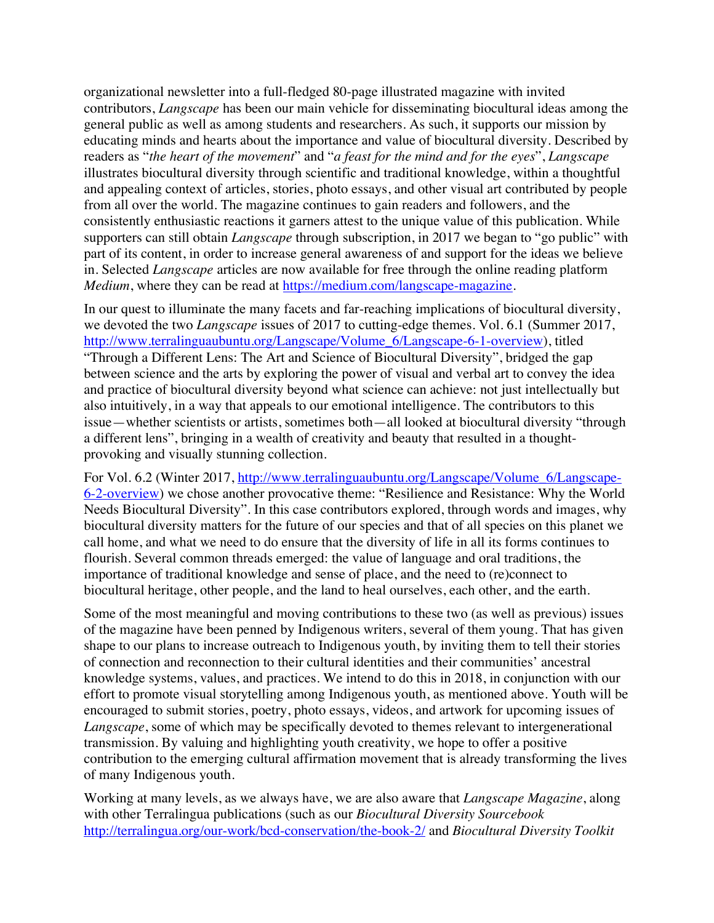organizational newsletter into a full-fledged 80-page illustrated magazine with invited contributors, *Langscape* has been our main vehicle for disseminating biocultural ideas among the general public as well as among students and researchers. As such, it supports our mission by educating minds and hearts about the importance and value of biocultural diversity. Described by readers as "*the heart of the movement*" and "*a feast for the mind and for the eyes*", *Langscape* illustrates biocultural diversity through scientific and traditional knowledge, within a thoughtful and appealing context of articles, stories, photo essays, and other visual art contributed by people from all over the world. The magazine continues to gain readers and followers, and the consistently enthusiastic reactions it garners attest to the unique value of this publication. While supporters can still obtain *Langscape* through subscription, in 2017 we began to "go public" with part of its content, in order to increase general awareness of and support for the ideas we believe in. Selected *Langscape* articles are now available for free through the online reading platform *Medium*, where they can be read at https://medium.com/langscape-magazine.

In our quest to illuminate the many facets and far-reaching implications of biocultural diversity, we devoted the two *Langscape* issues of 2017 to cutting-edge themes. Vol. 6.1 (Summer 2017, http://www.terralinguaubuntu.org/Langscape/Volume\_6/Langscape-6-1-overview), titled "Through a Different Lens: The Art and Science of Biocultural Diversity", bridged the gap between science and the arts by exploring the power of visual and verbal art to convey the idea and practice of biocultural diversity beyond what science can achieve: not just intellectually but also intuitively, in a way that appeals to our emotional intelligence. The contributors to this issue—whether scientists or artists, sometimes both—all looked at biocultural diversity "through a different lens", bringing in a wealth of creativity and beauty that resulted in a thoughtprovoking and visually stunning collection.

For Vol. 6.2 (Winter 2017, http://www.terralinguaubuntu.org/Langscape/Volume\_6/Langscape-6-2-overview) we chose another provocative theme: "Resilience and Resistance: Why the World Needs Biocultural Diversity". In this case contributors explored, through words and images, why biocultural diversity matters for the future of our species and that of all species on this planet we call home, and what we need to do ensure that the diversity of life in all its forms continues to flourish. Several common threads emerged: the value of language and oral traditions, the importance of traditional knowledge and sense of place, and the need to (re)connect to biocultural heritage, other people, and the land to heal ourselves, each other, and the earth.

Some of the most meaningful and moving contributions to these two (as well as previous) issues of the magazine have been penned by Indigenous writers, several of them young. That has given shape to our plans to increase outreach to Indigenous youth, by inviting them to tell their stories of connection and reconnection to their cultural identities and their communities' ancestral knowledge systems, values, and practices. We intend to do this in 2018, in conjunction with our effort to promote visual storytelling among Indigenous youth, as mentioned above. Youth will be encouraged to submit stories, poetry, photo essays, videos, and artwork for upcoming issues of *Langscape*, some of which may be specifically devoted to themes relevant to intergenerational transmission. By valuing and highlighting youth creativity, we hope to offer a positive contribution to the emerging cultural affirmation movement that is already transforming the lives of many Indigenous youth.

Working at many levels, as we always have, we are also aware that *Langscape Magazine*, along with other Terralingua publications (such as our *Biocultural Diversity Sourcebook* http://terralingua.org/our-work/bcd-conservation/the-book-2/ and *Biocultural Diversity Toolkit*